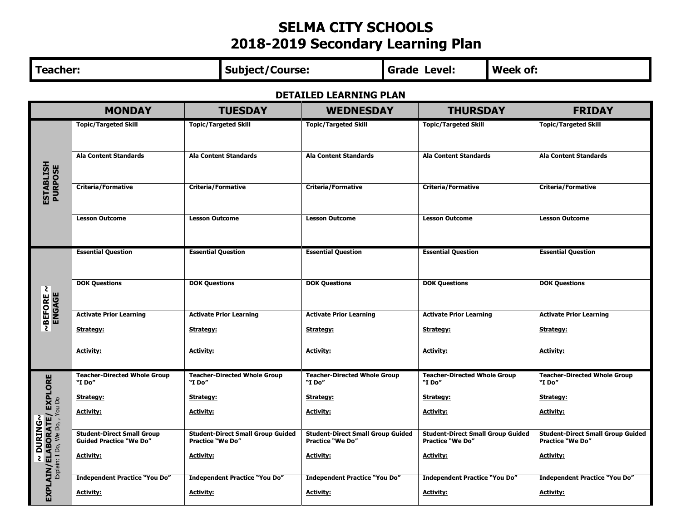## **SELMA CITY SCHOOLS 2018-2019 Secondary Learning Plan**

| <b>Teacher:</b>                                             |                                                                     |                                                                     | <b>Subject/Course:</b>         |                                                                     |  | <b>Grade Level:</b>                                                 | <b>Week of:</b> |                                                                     |
|-------------------------------------------------------------|---------------------------------------------------------------------|---------------------------------------------------------------------|--------------------------------|---------------------------------------------------------------------|--|---------------------------------------------------------------------|-----------------|---------------------------------------------------------------------|
| <b>DETAILED LEARNING PLAN</b>                               |                                                                     |                                                                     |                                |                                                                     |  |                                                                     |                 |                                                                     |
|                                                             | <b>MONDAY</b>                                                       | <b>TUESDAY</b>                                                      |                                | <b>WEDNESDAY</b>                                                    |  | <b>THURSDAY</b>                                                     |                 | <b>FRIDAY</b>                                                       |
|                                                             | <b>Topic/Targeted Skill</b>                                         | <b>Topic/Targeted Skill</b>                                         |                                | <b>Topic/Targeted Skill</b>                                         |  | <b>Topic/Targeted Skill</b>                                         |                 | <b>Topic/Targeted Skill</b>                                         |
| <b>ESTABLISH<br/>PURPOSE</b>                                | <b>Ala Content Standards</b>                                        | <b>Ala Content Standards</b>                                        |                                | <b>Ala Content Standards</b>                                        |  | <b>Ala Content Standards</b>                                        |                 | <b>Ala Content Standards</b>                                        |
|                                                             | <b>Criteria/Formative</b>                                           | <b>Criteria/Formative</b>                                           |                                | <b>Criteria/Formative</b>                                           |  | <b>Criteria/Formative</b>                                           |                 | <b>Criteria/Formative</b>                                           |
|                                                             | <b>Lesson Outcome</b>                                               | <b>Lesson Outcome</b>                                               |                                | <b>Lesson Outcome</b>                                               |  | <b>Lesson Outcome</b>                                               |                 | <b>Lesson Outcome</b>                                               |
|                                                             | <b>Essential Question</b>                                           | <b>Essential Question</b>                                           |                                | <b>Essential Question</b>                                           |  | <b>Essential Question</b>                                           |                 | <b>Essential Question</b>                                           |
| ~BEFORE ~<br>ENGAGE                                         | <b>DOK Questions</b>                                                | <b>DOK Questions</b>                                                |                                | <b>DOK Questions</b>                                                |  | <b>DOK Questions</b>                                                |                 | <b>DOK Questions</b>                                                |
|                                                             | <b>Activate Prior Learning</b>                                      |                                                                     | <b>Activate Prior Learning</b> | <b>Activate Prior Learning</b>                                      |  | <b>Activate Prior Learning</b>                                      |                 | <b>Activate Prior Learning</b>                                      |
|                                                             | Strategy:                                                           | Strategy:                                                           |                                | Strategy:                                                           |  | Strategy:                                                           |                 | Strategy:                                                           |
|                                                             | <b>Activity:</b>                                                    | <b>Activity:</b>                                                    |                                | <b>Activity:</b>                                                    |  | <b>Activity:</b>                                                    |                 | <u>Activity:</u>                                                    |
| <b>EXPLORE</b>                                              | <b>Teacher-Directed Whole Group</b><br>"I Do"                       | <b>Teacher-Directed Whole Group</b><br>"I Do"                       |                                | <b>Teacher-Directed Whole Group</b><br>"I Do"                       |  | <b>Teacher-Directed Whole Group</b><br>"I Do"                       |                 | <b>Teacher-Directed Whole Group</b><br>"I Do"                       |
|                                                             | Strategy:                                                           | Strategy:                                                           |                                | Strategy:                                                           |  | Strategy:                                                           |                 | Strategy:                                                           |
| <b>LIN/ELABORATE/ EXP</b><br>Explain: I Do, We Do, , You Do | <b>Activity:</b>                                                    | <b>Activity:</b>                                                    |                                | <b>Activity:</b>                                                    |  | <u> Activity:</u>                                                   |                 | <b>Activity:</b>                                                    |
| ~DURING~                                                    | <b>Student-Direct Small Group</b><br><b>Guided Practice "We Do"</b> | <b>Student-Direct Small Group Guided</b><br><b>Practice "We Do"</b> |                                | <b>Student-Direct Small Group Guided</b><br><b>Practice "We Do"</b> |  | <b>Student-Direct Small Group Guided</b><br><b>Practice "We Do"</b> |                 | <b>Student-Direct Small Group Guided</b><br><b>Practice "We Do"</b> |
|                                                             | <b>Activity:</b>                                                    | <b>Activity:</b>                                                    |                                | <b>Activity:</b>                                                    |  | <u>Activity:</u>                                                    |                 | <b>Activity:</b>                                                    |
| <b>AIN</b>                                                  | <b>Independent Practice "You Do"</b>                                | <b>Independent Practice "You Do"</b>                                |                                | <b>Independent Practice "You Do"</b>                                |  | <b>Independent Practice "You Do"</b>                                |                 | <b>Independent Practice "You Do"</b>                                |
| EXPI                                                        | <b>Activity:</b>                                                    | <b>Activity:</b>                                                    |                                | <b>Activity:</b>                                                    |  | <b>Activity:</b>                                                    |                 | <b>Activity:</b>                                                    |